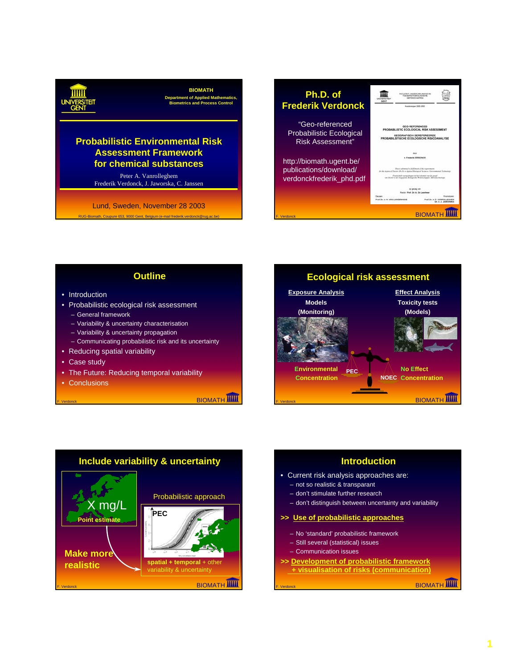### **BIOMATH**

**Department of Applied Mathematics, Biometrics and Process Control**

## **Probabilistic Environmental Risk Assessment Framework for chemical substances**

Peter A. Vanrolleghem Frederik Verdonck, J. Jaworska, C. Janssen

RUG-Biomath, Coupure 653, 9000 Gent, Belgium (e-mail frederik.verdonck@rug.ac.be) Lund, Sweden, November 28 2003



## **Outline**

- Introduction
- Probabilistic ecological risk assessment
- General framework
- Variability & uncertainty characterisation
- Variability & uncertainty propagation
- Communicating probabilistic risk and its uncertainty
- Reducing spatial variability
- Case study
- The Future: Reducing temporal variability
- Conclusions

**BIOMATH** 





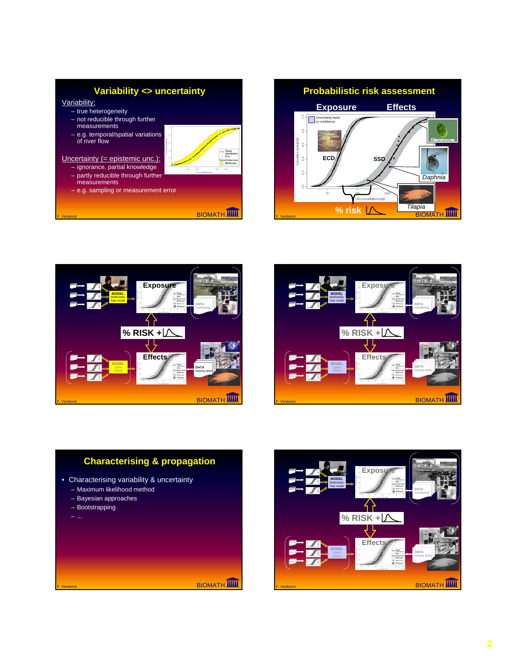# **Variability <> uncertainty**

Variability:

- true heterogeneity
- not reducible through further measurements
- e.g. temporal/spatial variations of river flow



- ignorance, partial knowledge
- partly reducible through further measurements
- e.g. sampling or measurement error



distrib<br>Data<br>certainty<br>B0 Per









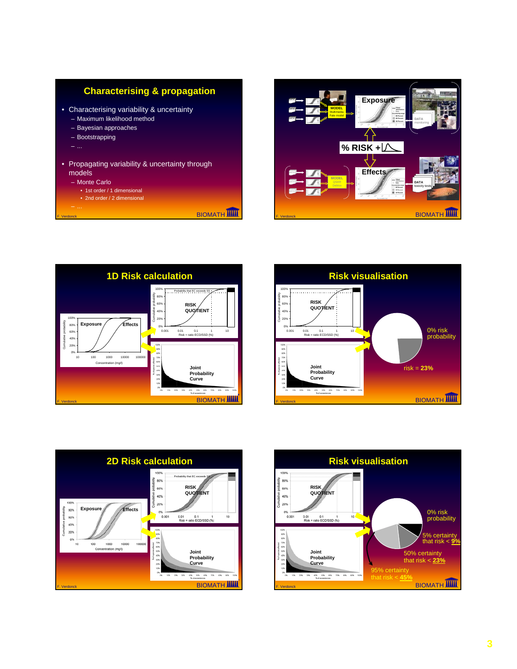



**MODEL Multimedia**  **Exposure**

DATA DATA